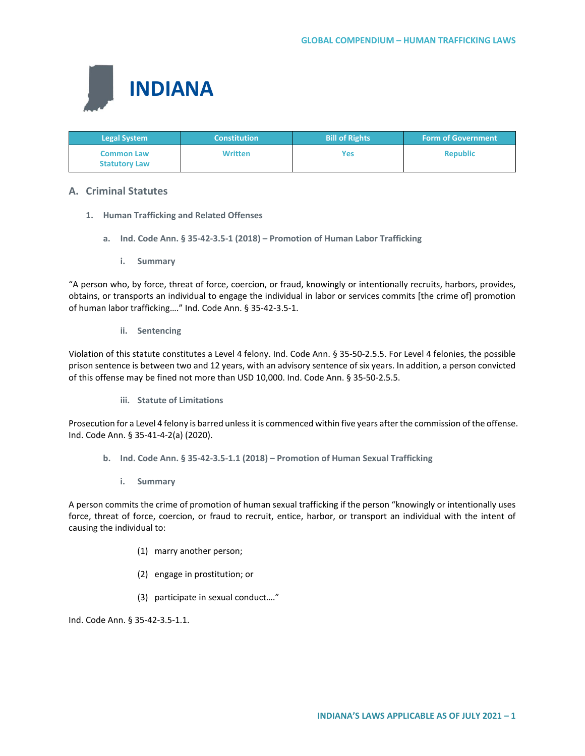

| <b>Legal System</b>                       | <b>Constitution</b> | <b>Bill of Rights</b> | <b>Form of Government</b> |
|-------------------------------------------|---------------------|-----------------------|---------------------------|
| <b>Common Law</b><br><b>Statutory Law</b> | <b>Written</b>      | Yes                   | <b>Republic</b>           |

# **A. Criminal Statutes**

- **1. Human Trafficking and Related Offenses**
	- **a. Ind. Code Ann. § 35-42-3.5-1 (2018) – Promotion of Human Labor Trafficking**
		- **i. Summary**

"A person who, by force, threat of force, coercion, or fraud, knowingly or intentionally recruits, harbors, provides, obtains, or transports an individual to engage the individual in labor or services commits [the crime of] promotion of human labor trafficking…." Ind. Code Ann. § 35-42-3.5-1.

## **ii. Sentencing**

Violation of this statute constitutes a Level 4 felony. Ind. Code Ann. § 35-50-2.5.5. For Level 4 felonies, the possible prison sentence is between two and 12 years, with an advisory sentence of six years. In addition, a person convicted of this offense may be fined not more than USD 10,000. Ind. Code Ann. § 35-50-2.5.5.

**iii. Statute of Limitations**

Prosecution for a Level 4 felony is barred unless it is commenced within five years after the commission of the offense. Ind. Code Ann. § 35-41-4-2(a) (2020).

- **b. Ind. Code Ann. § 35-42-3.5-1.1 (2018) – Promotion of Human Sexual Trafficking**
	- **i. Summary**

A person commits the crime of promotion of human sexual trafficking if the person "knowingly or intentionally uses force, threat of force, coercion, or fraud to recruit, entice, harbor, or transport an individual with the intent of causing the individual to:

- (1) marry another person;
- (2) engage in prostitution; or
- (3) participate in sexual conduct…."

Ind. Code Ann. § 35-42-3.5-1.1.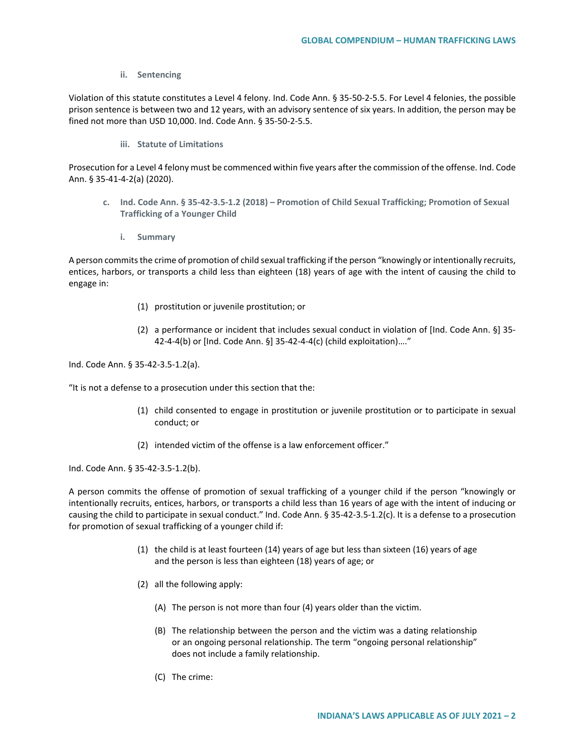## **ii. Sentencing**

Violation of this statute constitutes a Level 4 felony. Ind. Code Ann. § 35-50-2-5.5. For Level 4 felonies, the possible prison sentence is between two and 12 years, with an advisory sentence of six years. In addition, the person may be fined not more than USD 10,000. Ind. Code Ann. § 35-50-2-5.5.

**iii. Statute of Limitations**

Prosecution for a Level 4 felony must be commenced within five years after the commission of the offense. Ind. Code Ann. § 35-41-4-2(a) (2020).

- **c. Ind. Code Ann. § 35-42-3.5-1.2 (2018) – Promotion of Child Sexual Trafficking; Promotion of Sexual Trafficking of a Younger Child**
	- **i. Summary**

A person commits the crime of promotion of child sexual trafficking if the person "knowingly or intentionally recruits, entices, harbors, or transports a child less than eighteen (18) years of age with the intent of causing the child to engage in:

- (1) prostitution or juvenile prostitution; or
- (2) a performance or incident that includes sexual conduct in violation of [Ind. Code Ann. §] 35- 42-4-4(b) or [Ind. Code Ann. §] 35-42-4-4(c) (child exploitation)…."

Ind. Code Ann. § 35-42-3.5-1.2(a).

"It is not a defense to a prosecution under this section that the:

- (1) child consented to engage in prostitution or juvenile prostitution or to participate in sexual conduct; or
- (2) intended victim of the offense is a law enforcement officer."

Ind. Code Ann. § 35-42-3.5-1.2(b).

A person commits the offense of promotion of sexual trafficking of a younger child if the person "knowingly or intentionally recruits, entices, harbors, or transports a child less than 16 years of age with the intent of inducing or causing the child to participate in sexual conduct." Ind. Code Ann. § 35-42-3.5-1.2(c). It is a defense to a prosecution for promotion of sexual trafficking of a younger child if:

- (1) the child is at least fourteen (14) years of age but less than sixteen (16) years of age and the person is less than eighteen (18) years of age; or
- (2) all the following apply:
	- (A) The person is not more than four (4) years older than the victim.
	- (B) The relationship between the person and the victim was a dating relationship or an ongoing personal relationship. The term "ongoing personal relationship" does not include a family relationship.
	- (C) The crime: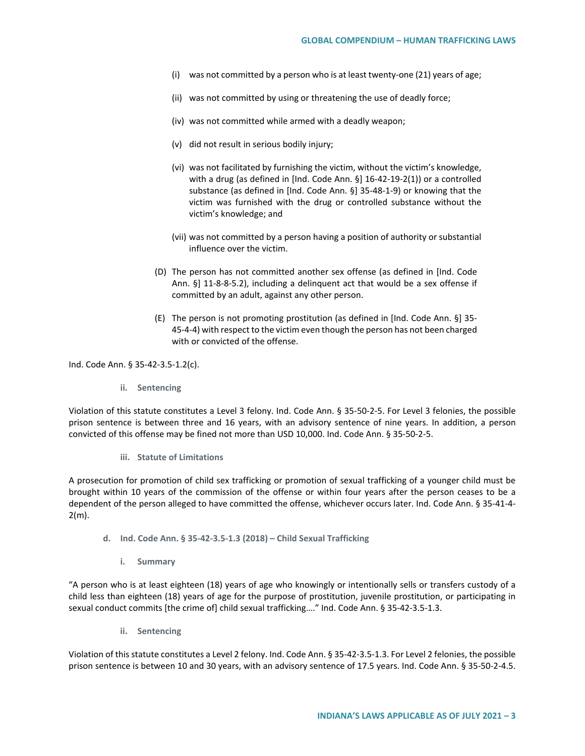- (i) was not committed by a person who is at least twenty-one (21) years of age;
- (ii) was not committed by using or threatening the use of deadly force;
- (iv) was not committed while armed with a deadly weapon;
- (v) did not result in serious bodily injury;
- (vi) was not facilitated by furnishing the victim, without the victim's knowledge, with a drug (as defined in [Ind. Code Ann. §] 16-42-19-2(1)) or a controlled substance (as defined in [Ind. Code Ann. §] 35-48-1-9) or knowing that the victim was furnished with the drug or controlled substance without the victim's knowledge; and
- (vii) was not committed by a person having a position of authority or substantial influence over the victim.
- (D) The person has not committed another sex offense (as defined in [Ind. Code Ann. §] 11-8-8-5.2), including a delinquent act that would be a sex offense if committed by an adult, against any other person.
- (E) The person is not promoting prostitution (as defined in [Ind. Code Ann. §] 35- 45-4-4) with respect to the victim even though the person has not been charged with or convicted of the offense.

Ind. Code Ann. § 35-42-3.5-1.2(c).

**ii. Sentencing**

Violation of this statute constitutes a Level 3 felony. Ind. Code Ann. § 35-50-2-5. For Level 3 felonies, the possible prison sentence is between three and 16 years, with an advisory sentence of nine years. In addition, a person convicted of this offense may be fined not more than USD 10,000. Ind. Code Ann. § 35-50-2-5.

**iii. Statute of Limitations** 

A prosecution for promotion of child sex trafficking or promotion of sexual trafficking of a younger child must be brought within 10 years of the commission of the offense or within four years after the person ceases to be a dependent of the person alleged to have committed the offense, whichever occurs later. Ind. Code Ann. § 35-41-4- 2(m).

- **d. Ind. Code Ann. § 35-42-3.5-1.3 (2018) – Child Sexual Trafficking** 
	- **i. Summary**

"A person who is at least eighteen (18) years of age who knowingly or intentionally sells or transfers custody of a child less than eighteen (18) years of age for the purpose of prostitution, juvenile prostitution, or participating in sexual conduct commits [the crime of] child sexual trafficking…." Ind. Code Ann. § 35-42-3.5-1.3.

**ii. Sentencing**

Violation of this statute constitutes a Level 2 felony. Ind. Code Ann. § 35-42-3.5-1.3. For Level 2 felonies, the possible prison sentence is between 10 and 30 years, with an advisory sentence of 17.5 years. Ind. Code Ann. § 35-50-2-4.5.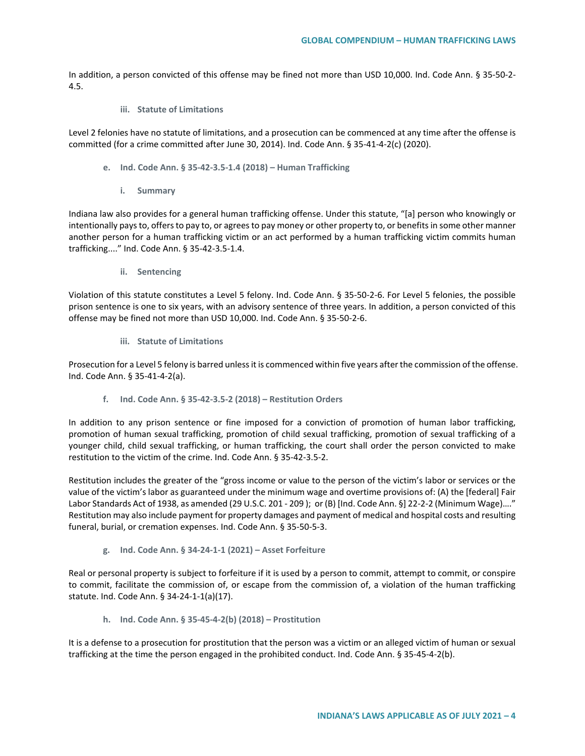In addition, a person convicted of this offense may be fined not more than USD 10,000. Ind. Code Ann. § 35-50-2- 4.5.

**iii. Statute of Limitations**

Level 2 felonies have no statute of limitations, and a prosecution can be commenced at any time after the offense is committed (for a crime committed after June 30, 2014). Ind. Code Ann. § 35-41-4-2(c) (2020).

- **e. Ind. Code Ann. § 35-42-3.5-1.4 (2018) – Human Trafficking**
	- **i. Summary**

Indiana law also provides for a general human trafficking offense. Under this statute, "[a] person who knowingly or intentionally pays to, offers to pay to, or agrees to pay money or other property to, or benefits in some other manner another person for a human trafficking victim or an act performed by a human trafficking victim commits human trafficking...." Ind. Code Ann. § 35-42-3.5-1.4.

**ii. Sentencing**

Violation of this statute constitutes a Level 5 felony. Ind. Code Ann. § 35-50-2-6. For Level 5 felonies, the possible prison sentence is one to six years, with an advisory sentence of three years. In addition, a person convicted of this offense may be fined not more than USD 10,000. Ind. Code Ann. § 35-50-2-6.

**iii. Statute of Limitations** 

Prosecution for a Level 5 felony is barred unless it is commenced within five years after the commission of the offense. Ind. Code Ann. § 35-41-4-2(a).

**f. Ind. Code Ann. § 35-42-3.5-2 (2018) – Restitution Orders**

In addition to any prison sentence or fine imposed for a conviction of promotion of human labor trafficking, promotion of human sexual trafficking, promotion of child sexual trafficking, promotion of sexual trafficking of a younger child, child sexual trafficking, or human trafficking, the court shall order the person convicted to make restitution to the victim of the crime. Ind. Code Ann. § 35-42-3.5-2.

Restitution includes the greater of the "gross income or value to the person of the victim's labor or services or the value of the victim's labor as guaranteed under the minimum wage and overtime provisions of: (A) the [federal] Fair Labor Standards Act of 1938, as amended (29 U.S.C. 201 - 209 );  or (B) [Ind. Code Ann. §] 22-2-2 (Minimum Wage)…." Restitution may also include payment for property damages and payment of medical and hospital costs and resulting funeral, burial, or cremation expenses. Ind. Code Ann. § 35-50-5-3.

**g. Ind. Code Ann. § 34-24-1-1 (2021) – Asset Forfeiture**

Real or personal property is subject to forfeiture if it is used by a person to commit, attempt to commit, or conspire to commit, facilitate the commission of, or escape from the commission of, a violation of the human trafficking statute. Ind. Code Ann. § 34-24-1-1(a)(17).

**h. Ind. Code Ann. § 35-45-4-2(b) (2018) – Prostitution**

It is a defense to a prosecution for prostitution that the person was a victim or an alleged victim of human or sexual trafficking at the time the person engaged in the prohibited conduct. Ind. Code Ann. § 35-45-4-2(b).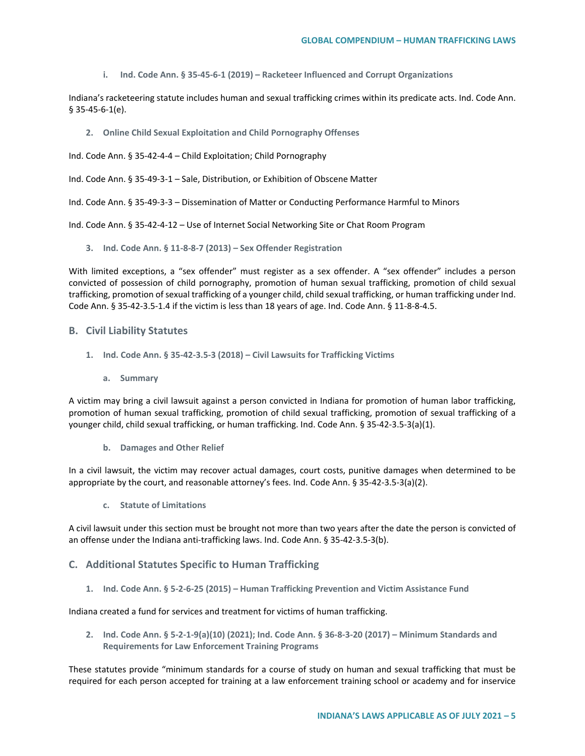**i. Ind. Code Ann. § 35-45-6-1 (2019) – Racketeer Influenced and Corrupt Organizations**

Indiana's racketeering statute includes human and sexual trafficking crimes within its predicate acts. Ind. Code Ann. § 35-45-6-1(e).

**2. Online Child Sexual Exploitation and Child Pornography Offenses**

Ind. Code Ann. § 35-42-4-4 – Child Exploitation; Child Pornography

Ind. Code Ann. § 35-49-3-1 – Sale, Distribution, or Exhibition of Obscene Matter

Ind. Code Ann. § 35-49-3-3 – Dissemination of Matter or Conducting Performance Harmful to Minors

Ind. Code Ann. § 35-42-4-12 – Use of Internet Social Networking Site or Chat Room Program

**3. Ind. Code Ann. § 11-8-8-7 (2013) – Sex Offender Registration**

With limited exceptions, a "sex offender" must register as a sex offender. A "sex offender" includes a person convicted of possession of child pornography, promotion of human sexual trafficking, promotion of child sexual trafficking, promotion of sexual trafficking of a younger child, child sexual trafficking, or human trafficking under Ind. Code Ann. § 35-42-3.5-1.4 if the victim is less than 18 years of age. Ind. Code Ann. § 11-8-8-4.5.

#### **B. Civil Liability Statutes**

- **1. Ind. Code Ann. § 35-42-3.5-3 (2018) – Civil Lawsuits for Trafficking Victims** 
	- **a. Summary**

A victim may bring a civil lawsuit against a person convicted in Indiana for promotion of human labor trafficking, promotion of human sexual trafficking, promotion of child sexual trafficking, promotion of sexual trafficking of a younger child, child sexual trafficking, or human trafficking. Ind. Code Ann. § 35-42-3.5-3(a)(1).

**b. Damages and Other Relief**

In a civil lawsuit, the victim may recover actual damages, court costs, punitive damages when determined to be appropriate by the court, and reasonable attorney's fees. Ind. Code Ann. § 35-42-3.5-3(a)(2).

**c. Statute of Limitations**

A civil lawsuit under this section must be brought not more than two years after the date the person is convicted of an offense under the Indiana anti-trafficking laws. Ind. Code Ann. § 35-42-3.5-3(b).

# **C. Additional Statutes Specific to Human Trafficking**

**1. Ind. Code Ann. § 5-2-6-25 (2015) – Human Trafficking Prevention and Victim Assistance Fund**

Indiana created a fund for services and treatment for victims of human trafficking.

**2. Ind. Code Ann. § 5-2-1-9(a)(10) (2021); Ind. Code Ann. § 36-8-3-20 (2017) – Minimum Standards and Requirements for Law Enforcement Training Programs**

These statutes provide "minimum standards for a course of study on human and sexual trafficking that must be required for each person accepted for training at a law enforcement training school or academy and for inservice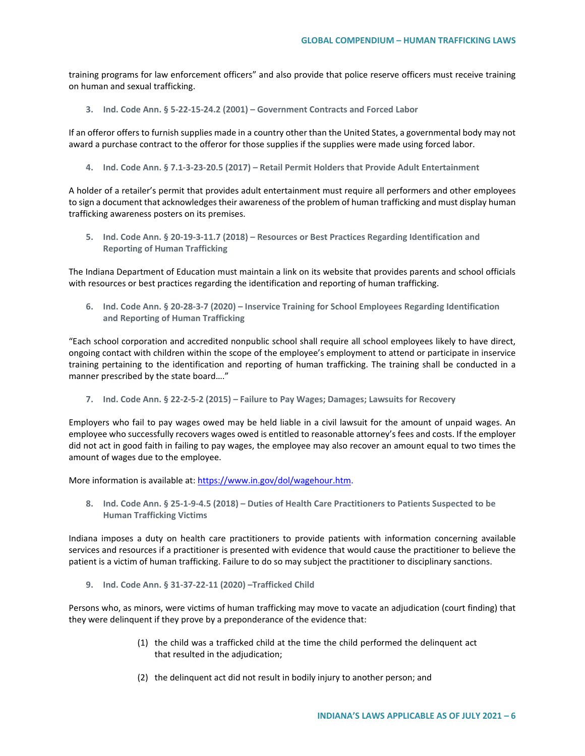training programs for law enforcement officers" and also provide that police reserve officers must receive training on human and sexual trafficking.

**3. Ind. Code Ann. § 5-22-15-24.2 (2001) – Government Contracts and Forced Labor** 

If an offeror offers to furnish supplies made in a country other than the United States, a governmental body may not award a purchase contract to the offeror for those supplies if the supplies were made using forced labor.

**4. Ind. Code Ann. § 7.1-3-23-20.5 (2017) – Retail Permit Holders that Provide Adult Entertainment**

A holder of a retailer's permit that provides adult entertainment must require all performers and other employees to sign a document that acknowledges their awareness of the problem of human trafficking and must display human trafficking awareness posters on its premises.

**5. Ind. Code Ann. § 20-19-3-11.7 (2018) – Resources or Best Practices Regarding Identification and Reporting of Human Trafficking** 

The Indiana Department of Education must maintain a link on its website that provides parents and school officials with resources or best practices regarding the identification and reporting of human trafficking.

**6. Ind. Code Ann. § 20-28-3-7 (2020) – Inservice Training for School Employees Regarding Identification and Reporting of Human Trafficking**

"Each school corporation and accredited nonpublic school shall require all school employees likely to have direct, ongoing contact with children within the scope of the employee's employment to attend or participate in inservice training pertaining to the identification and reporting of human trafficking. The training shall be conducted in a manner prescribed by the state board…."

**7. Ind. Code Ann. § 22-2-5-2 (2015) – Failure to Pay Wages; Damages; Lawsuits for Recovery**

Employers who fail to pay wages owed may be held liable in a civil lawsuit for the amount of unpaid wages. An employee who successfully recovers wages owed is entitled to reasonable attorney's fees and costs. If the employer did not act in good faith in failing to pay wages, the employee may also recover an amount equal to two times the amount of wages due to the employee.

More information is available at: [https://www.in.gov/dol/wagehour.htm.](https://www.in.gov/dol/wagehour.htm)

**8. Ind. Code Ann. § 25-1-9-4.5 (2018) – Duties of Health Care Practitioners to Patients Suspected to be Human Trafficking Victims**

Indiana imposes a duty on health care practitioners to provide patients with information concerning available services and resources if a practitioner is presented with evidence that would cause the practitioner to believe the patient is a victim of human trafficking. Failure to do so may subject the practitioner to disciplinary sanctions.

**9. Ind. Code Ann. § 31-37-22-11 (2020) –Trafficked Child**

Persons who, as minors, were victims of human trafficking may move to vacate an adjudication (court finding) that they were delinquent if they prove by a preponderance of the evidence that:

- (1) the child was a trafficked child at the time the child performed the delinquent act that resulted in the adjudication;
- (2) the delinquent act did not result in bodily injury to another person; and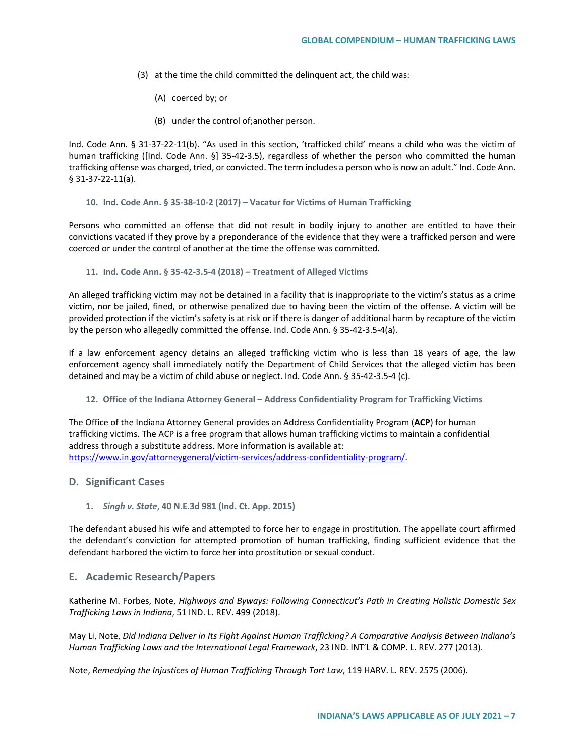- (3) at the time the child committed the delinquent act, the child was:
	- (A) coerced by; or
	- (B) under the control of;another person.

Ind. Code Ann. § 31-37-22-11(b). "As used in this section, 'trafficked child' means a child who was the victim of human trafficking ([Ind. Code Ann. §] 35-42-3.5), regardless of whether the person who committed the human trafficking offense was charged, tried, or convicted. The term includes a person who is now an adult." Ind. Code Ann. § 31-37-22-11(a).

**10. Ind. Code Ann. § 35-38-10-2 (2017) – Vacatur for Victims of Human Trafficking**

Persons who committed an offense that did not result in bodily injury to another are entitled to have their convictions vacated if they prove by a preponderance of the evidence that they were a trafficked person and were coerced or under the control of another at the time the offense was committed.

**11. Ind. Code Ann. § 35-42-3.5-4 (2018) – Treatment of Alleged Victims**

An alleged trafficking victim may not be detained in a facility that is inappropriate to the victim's status as a crime victim, nor be jailed, fined, or otherwise penalized due to having been the victim of the offense. A victim will be provided protection if the victim's safety is at risk or if there is danger of additional harm by recapture of the victim by the person who allegedly committed the offense. Ind. Code Ann. § 35-42-3.5-4(a).

If a law enforcement agency detains an alleged trafficking victim who is less than 18 years of age, the law enforcement agency shall immediately notify the Department of Child Services that the alleged victim has been detained and may be a victim of child abuse or neglect. Ind. Code Ann. § 35-42-3.5-4 (c).

**12. Office of the Indiana Attorney General – Address Confidentiality Program for Trafficking Victims** 

The Office of the Indiana Attorney General provides an Address Confidentiality Program (**ACP**) for human trafficking victims. The ACP is a free program that allows human trafficking victims to maintain a confidential address through a substitute address. More information is available at: [https://www.in.gov/attorneygeneral/victim-services/address-confidentiality-program/.](https://www.in.gov/attorneygeneral/victim-services/address-confidentiality-program/)

#### **D. Significant Cases**

**1.** *Singh v. State***, 40 N.E.3d 981 (Ind. Ct. App. 2015)** 

The defendant abused his wife and attempted to force her to engage in prostitution. The appellate court affirmed the defendant's conviction for attempted promotion of human trafficking, finding sufficient evidence that the defendant harbored the victim to force her into prostitution or sexual conduct.

# **E. Academic Research/Papers**

Katherine M. Forbes, Note, *Highways and Byways: Following Connecticut's Path in Creating Holistic Domestic Sex Trafficking Laws in Indiana*, 51 IND. L. REV. 499 (2018).

May Li, Note, *Did Indiana Deliver in Its Fight Against Human Trafficking? A Comparative Analysis Between Indiana's Human Trafficking Laws and the International Legal Framework*, 23 IND. INT'L & COMP. L. REV. 277 (2013).

Note, *Remedying the Injustices of Human Trafficking Through Tort Law*, 119 HARV. L. REV. 2575 (2006).